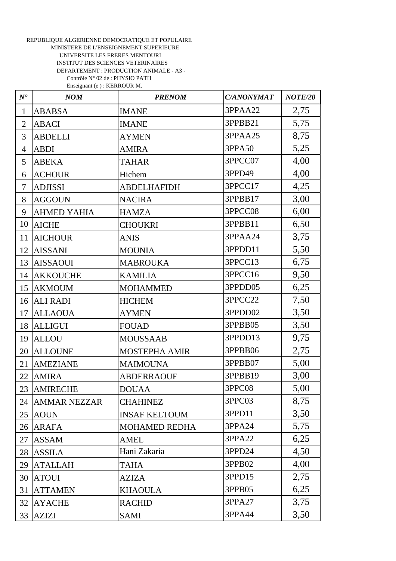## REPUBLIQUE ALGERIENNE DEMOCRATIQUE ET POPULAIRE MINISTERE DE L'ENSEIGNEMENT SUPERIEURE UNIVERSITE LES FRERES MENTOURI INSTITUT DES SCIENCES VETERINAIRES DEPARTEMENT : PRODUCTION ANIMALE - A3 - Contrôle N° 02 de : PHYSIO PATH Enseignant (e ) : KERROUR M.

| $N^{\bullet}$  | NOM                 | <b>PRENOM</b>        | <b>C/ANONYMAT</b> | NOTE/20 |
|----------------|---------------------|----------------------|-------------------|---------|
| $\mathbf{1}$   | <b>ABABSA</b>       | <b>IMANE</b>         | 3PPAA22           | 2,75    |
| $\overline{2}$ | <b>ABACI</b>        | <b>IMANE</b>         | 3PPBB21           | 5,75    |
| 3              | <b>ABDELLI</b>      | <b>AYMEN</b>         | 3PPAA25           | 8,75    |
| $\overline{4}$ | <b>ABDI</b>         | <b>AMIRA</b>         | 3PPA50            | 5,25    |
| 5              | <b>ABEKA</b>        | <b>TAHAR</b>         | 3PPCC07           | 4,00    |
| 6              | <b>ACHOUR</b>       | Hichem               | 3PPD49            | 4,00    |
| $\overline{7}$ | <b>ADJISSI</b>      | <b>ABDELHAFIDH</b>   | 3PPCC17           | 4,25    |
| 8              | <b>AGGOUN</b>       | <b>NACIRA</b>        | 3PPBB17           | 3,00    |
| 9              | <b>AHMED YAHIA</b>  | <b>HAMZA</b>         | 3PPCC08           | 6,00    |
| 10             | <b>AICHE</b>        | <b>CHOUKRI</b>       | 3PPBB11           | 6,50    |
| 11             | <b>AICHOUR</b>      | <b>ANIS</b>          | 3PPAA24           | 3,75    |
| 12             | <b>AISSANI</b>      | <b>MOUNIA</b>        | 3PPDD11           | 5,50    |
| 13             | <b>AISSAOUI</b>     | <b>MABROUKA</b>      | 3PPCC13           | 6,75    |
| 14             | <b>AKKOUCHE</b>     | <b>KAMILIA</b>       | 3PPCC16           | 9,50    |
| 15             | <b>AKMOUM</b>       | <b>MOHAMMED</b>      | 3PPDD05           | 6,25    |
| 16             | <b>ALI RADI</b>     | <b>HICHEM</b>        | 3PPCC22           | 7,50    |
| 17             | <b>ALLAOUA</b>      | <b>AYMEN</b>         | 3PPDD02           | 3,50    |
| 18             | <b>ALLIGUI</b>      | <b>FOUAD</b>         | 3PPBB05           | 3,50    |
| 19             | <b>ALLOU</b>        | <b>MOUSSAAB</b>      | 3PPDD13           | 9,75    |
| 20             | <b>ALLOUNE</b>      | <b>MOSTEPHA AMIR</b> | 3PPBB06           | 2,75    |
| 21             | <b>AMEZIANE</b>     | <b>MAIMOUNA</b>      | 3PPBB07           | 5,00    |
| 22             | <b>AMIRA</b>        | <b>ABDERRAOUF</b>    | 3PPBB19           | 3,00    |
| 23             | <b>AMIRECHE</b>     | <b>DOUAA</b>         | 3PPC08            | 5,00    |
| 24             | <b>AMMAR NEZZAR</b> | <b>CHAHINEZ</b>      | 3PPC03            | 8,75    |
| 25             | <b>AOUN</b>         | <b>INSAF KELTOUM</b> | 3PPD11            | 3,50    |
| 26             | <b>ARAFA</b>        | <b>MOHAMED REDHA</b> | 3PPA24            | 5,75    |
| 27             | <b>ASSAM</b>        | <b>AMEL</b>          | 3PPA22            | 6,25    |
| 28             | <b>ASSILA</b>       | Hani Zakaria         | 3PPD24            | 4,50    |
| 29             | <b>ATALLAH</b>      | <b>TAHA</b>          | 3PPB02            | 4,00    |
| 30             | <b>ATOUI</b>        | <b>AZIZA</b>         | 3PPD15            | 2,75    |
| 31             | <b>ATTAMEN</b>      | <b>KHAOULA</b>       | 3PPB05            | 6,25    |
| 32             | <b>AYACHE</b>       | <b>RACHID</b>        | 3PPA27            | 3,75    |
| 33             | <b>AZIZI</b>        | SAMI                 | 3PPA44            | 3,50    |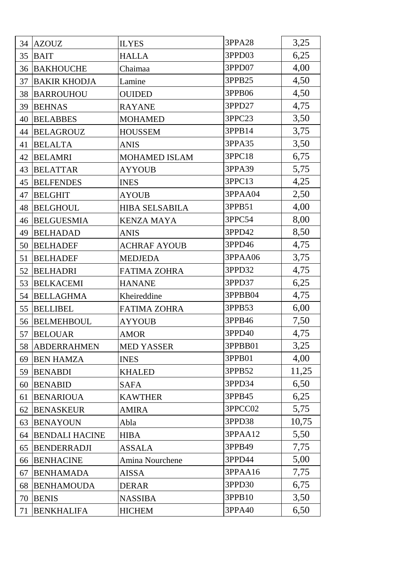| 34 | <b>AZOUZ</b>          | <b>ILYES</b>          | 3PPA28  | 3,25  |
|----|-----------------------|-----------------------|---------|-------|
| 35 | <b>BAIT</b>           | <b>HALLA</b>          | 3PPD03  | 6,25  |
| 36 | <b>BAKHOUCHE</b>      | Chaimaa               | 3PPD07  | 4,00  |
| 37 | <b>BAKIR KHODJA</b>   | Lamine                | 3PPB25  | 4,50  |
| 38 | <b>BARROUHOU</b>      | <b>OUIDED</b>         | 3PPB06  | 4,50  |
| 39 | <b>BEHNAS</b>         | <b>RAYANE</b>         | 3PPD27  | 4,75  |
| 40 | <b>BELABBES</b>       | <b>MOHAMED</b>        | 3PPC23  | 3,50  |
| 44 | <b>BELAGROUZ</b>      | <b>HOUSSEM</b>        | 3PPB14  | 3,75  |
| 41 | <b>BELALTA</b>        | <b>ANIS</b>           | 3PPA35  | 3,50  |
| 42 | <b>BELAMRI</b>        | <b>MOHAMED ISLAM</b>  | 3PPC18  | 6,75  |
| 43 | <b>BELATTAR</b>       | <b>AYYOUB</b>         | 3PPA39  | 5,75  |
| 45 | <b>BELFENDES</b>      | <b>INES</b>           | 3PPC13  | 4,25  |
| 47 | <b>BELGHIT</b>        | <b>AYOUB</b>          | 3PPAA04 | 2,50  |
| 48 | <b>BELGHOUL</b>       | <b>HIBA SELSABILA</b> | 3PPB51  | 4,00  |
| 46 | <b>BELGUESMIA</b>     | <b>KENZA MAYA</b>     | 3PPC54  | 8,00  |
| 49 | <b>BELHADAD</b>       | <b>ANIS</b>           | 3PPD42  | 8,50  |
| 50 | <b>BELHADEF</b>       | <b>ACHRAF AYOUB</b>   | 3PPD46  | 4,75  |
| 51 | <b>BELHADEF</b>       | <b>MEDJEDA</b>        | 3PPAA06 | 3,75  |
| 52 | <b>BELHADRI</b>       | <b>FATIMA ZOHRA</b>   | 3PPD32  | 4,75  |
| 53 | <b>BELKACEMI</b>      | <b>HANANE</b>         | 3PPD37  | 6,25  |
| 54 | <b>BELLAGHMA</b>      | Kheireddine           | 3PPBB04 | 4,75  |
| 55 | <b>BELLIBEL</b>       | <b>FATIMA ZOHRA</b>   | 3PPB53  | 6,00  |
| 56 | <b>BELMEHBOUL</b>     | <b>AYYOUB</b>         | 3PPB46  | 7,50  |
| 57 | <b>BELOUAR</b>        | <b>AMOR</b>           | 3PPD40  | 4,75  |
| 58 | <b>ABDERRAHMEN</b>    | <b>MED YASSER</b>     | 3PPBB01 | 3,25  |
| 69 | <b>BEN HAMZA</b>      | <b>INES</b>           | 3PPB01  | 4,00  |
| 59 | <b>BENABDI</b>        | <b>KHALED</b>         | 3PPB52  | 11,25 |
| 60 | <b>BENABID</b>        | <b>SAFA</b>           | 3PPD34  | 6,50  |
| 61 | <b>BENARIOUA</b>      | <b>KAWTHER</b>        | 3PPB45  | 6,25  |
| 62 | <b>BENASKEUR</b>      | <b>AMIRA</b>          | 3PPCC02 | 5,75  |
| 63 | <b>BENAYOUN</b>       | Abla                  | 3PPD38  | 10,75 |
| 64 | <b>BENDALI HACINE</b> | <b>HIBA</b>           | 3PPAA12 | 5,50  |
| 65 | <b>BENDERRADJI</b>    | <b>ASSALA</b>         | 3PPB49  | 7,75  |
| 66 | <b>BENHACINE</b>      | Amina Nourchene       | 3PPD44  | 5,00  |
| 67 | <b>BENHAMADA</b>      | <b>AISSA</b>          | 3PPAA16 | 7,75  |
| 68 | <b>BENHAMOUDA</b>     | <b>DERAR</b>          | 3PPD30  | 6,75  |
| 70 | <b>BENIS</b>          | <b>NASSIBA</b>        | 3PPB10  | 3,50  |
| 71 | <b>BENKHALIFA</b>     | <b>HICHEM</b>         | 3PPA40  | 6,50  |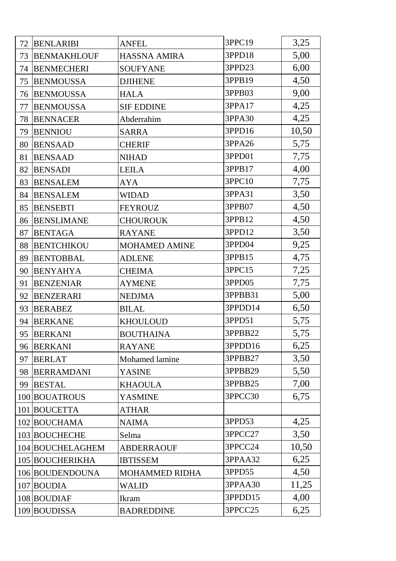| 72 | <b>BENLARIBI</b>   | <b>ANFEL</b>          | 3PPC19  | 3,25  |
|----|--------------------|-----------------------|---------|-------|
| 73 | <b>BENMAKHLOUF</b> | <b>HASSNA AMIRA</b>   | 3PPD18  | 5,00  |
| 74 | <b>BENMECHERI</b>  | <b>SOUFYANE</b>       | 3PPD23  | 6,00  |
| 75 | <b>BENMOUSSA</b>   | <b>DJIHENE</b>        | 3PPB19  | 4,50  |
| 76 | <b>BENMOUSSA</b>   | <b>HALA</b>           | 3PPB03  | 9,00  |
| 77 | <b>BENMOUSSA</b>   | <b>SIF EDDINE</b>     | 3PPA17  | 4,25  |
| 78 | <b>BENNACER</b>    | Abderrahim            | 3PPA30  | 4,25  |
| 79 | <b>BENNIOU</b>     | <b>SARRA</b>          | 3PPD16  | 10,50 |
| 80 | <b>BENSAAD</b>     | <b>CHERIF</b>         | 3PPA26  | 5,75  |
| 81 | <b>BENSAAD</b>     | <b>NIHAD</b>          | 3PPD01  | 7,75  |
| 82 | <b>BENSADI</b>     | <b>LEILA</b>          | 3PPB17  | 4,00  |
| 83 | <b>BENSALEM</b>    | <b>AYA</b>            | 3PPC10  | 7,75  |
| 84 | <b>BENSALEM</b>    | <b>WIDAD</b>          | 3PPA31  | 3,50  |
| 85 | <b>BENSEBTI</b>    | <b>FEYROUZ</b>        | 3PPB07  | 4,50  |
| 86 | <b>BENSLIMANE</b>  | <b>CHOUROUK</b>       | 3PPB12  | 4,50  |
| 87 | <b>BENTAGA</b>     | <b>RAYANE</b>         | 3PPD12  | 3,50  |
| 88 | <b>BENTCHIKOU</b>  | <b>MOHAMED AMINE</b>  | 3PPD04  | 9,25  |
| 89 | <b>BENTOBBAL</b>   | <b>ADLENE</b>         | 3PPB15  | 4,75  |
| 90 | <b>BENYAHYA</b>    | <b>CHEIMA</b>         | 3PPC15  | 7,25  |
| 91 | <b>BENZENIAR</b>   | <b>AYMENE</b>         | 3PPD05  | 7,75  |
| 92 | <b>BENZERARI</b>   | <b>NEDJMA</b>         | 3PPBB31 | 5,00  |
| 93 | <b>BERABEZ</b>     | <b>BILAL</b>          | 3PPDD14 | 6,50  |
| 94 | <b>BERKANE</b>     | <b>KHOULOUD</b>       | 3PPD51  | 5,75  |
| 95 | <b>BERKANI</b>     | <b>BOUTHAINA</b>      | 3PPBB22 | 5,75  |
| 96 | <b>BERKANI</b>     | <b>RAYANE</b>         | 3PPDD16 | 6,25  |
| 97 | <b>BERLAT</b>      | Mohamed lamine        | 3PPBB27 | 3,50  |
| 98 | <b>BERRAMDANI</b>  | YASINE                | 3PPBB29 | 5,50  |
| 99 | <b>BESTAL</b>      | <b>KHAOULA</b>        | 3PPBB25 | 7,00  |
|    | 100 BOUATROUS      | <b>YASMINE</b>        | 3PPCC30 | 6,75  |
|    | 101 BOUCETTA       | <b>ATHAR</b>          |         |       |
|    | 102 BOUCHAMA       | <b>NAIMA</b>          | 3PPD53  | 4,25  |
|    | 103 BOUCHECHE      | Selma                 | 3PPCC27 | 3,50  |
|    | 104 BOUCHELAGHEM   | <b>ABDERRAOUF</b>     | 3PPCC24 | 10,50 |
|    | 105 BOUCHERIKHA    | <b>IBTISSEM</b>       | 3PPAA32 | 6,25  |
|    | 106 BOUDENDOUNA    | <b>MOHAMMED RIDHA</b> | 3PPD55  | 4,50  |
|    | 107 BOUDIA         | <b>WALID</b>          | 3PPAA30 | 11,25 |
|    | 108 BOUDIAF        | Ikram                 | 3PPDD15 | 4,00  |
|    | 109 BOUDISSA       | <b>BADREDDINE</b>     | 3PPCC25 | 6,25  |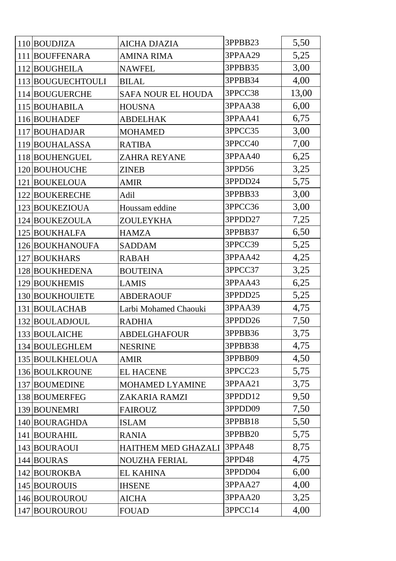| 110 BOUDJIZA      | <b>AICHA DJAZIA</b>        | 3PPBB23 | 5,50  |
|-------------------|----------------------------|---------|-------|
| 111 BOUFFENARA    | <b>AMINA RIMA</b>          | 3PPAA29 | 5,25  |
| 112 BOUGHEILA     | <b>NAWFEL</b>              | 3PPBB35 | 3,00  |
| 113 BOUGUECHTOULI | <b>BILAL</b>               | 3PPBB34 | 4,00  |
| 114 BOUGUERCHE    | <b>SAFA NOUR EL HOUDA</b>  | 3PPCC38 | 13,00 |
| 115 BOUHABILA     | <b>HOUSNA</b>              | 3PPAA38 | 6,00  |
| 116 BOUHADEF      | <b>ABDELHAK</b>            | 3PPAA41 | 6,75  |
| 117 BOUHADJAR     | <b>MOHAMED</b>             | 3PPCC35 | 3,00  |
| 119 BOUHALASSA    | <b>RATIBA</b>              | 3PPCC40 | 7,00  |
| 118 BOUHENGUEL    | <b>ZAHRA REYANE</b>        | 3PPAA40 | 6,25  |
| 120 BOUHOUCHE     | <b>ZINEB</b>               | 3PPD56  | 3,25  |
| 121 BOUKELOUA     | <b>AMIR</b>                | 3PPDD24 | 5,75  |
| 122 BOUKERECHE    | Adil                       | 3PPBB33 | 3,00  |
| 123 BOUKEZIOUA    | Houssam eddine             | 3PPCC36 | 3,00  |
| 124 BOUKEZOULA    | <b>ZOULEYKHA</b>           | 3PPDD27 | 7,25  |
| 125 BOUKHALFA     | <b>HAMZA</b>               | 3PPBB37 | 6,50  |
| 126 BOUKHANOUFA   | <b>SADDAM</b>              | 3PPCC39 | 5,25  |
| 127 BOUKHARS      | <b>RABAH</b>               | 3PPAA42 | 4,25  |
| 128 BOUKHEDENA    | <b>BOUTEINA</b>            | 3PPCC37 | 3,25  |
| 129 BOUKHEMIS     | <b>LAMIS</b>               | 3PPAA43 | 6,25  |
| 130 BOUKHOUIETE   | <b>ABDERAOUF</b>           | 3PPDD25 | 5,25  |
| 131 BOULACHAB     | Larbi Mohamed Chaouki      | 3PPAA39 | 4,75  |
| 132 BOULADJOUL    | <b>RADHIA</b>              | 3PPDD26 | 7,50  |
| 133 BOULAICHE     | <b>ABDELGHAFOUR</b>        | 3PPBB36 | 3,75  |
| 134 BOULEGHLEM    | <b>NESRINE</b>             | 3PPBB38 | 4,75  |
| 135 BOULKHELOUA   | <b>AMIR</b>                | 3PPBB09 | 4,50  |
| 136 BOULKROUNE    | <b>EL HACENE</b>           | 3PPCC23 | 5,75  |
| 137 BOUMEDINE     | MOHAMED LYAMINE            | 3PPAA21 | 3,75  |
| 138 BOUMERFEG     | ZAKARIA RAMZI              | 3PPDD12 | 9,50  |
| 139 BOUNEMRI      | <b>FAIROUZ</b>             | 3PPDD09 | 7,50  |
| 140 BOURAGHDA     | <b>ISLAM</b>               | 3PPBB18 | 5,50  |
| 141 BOURAHIL      | <b>RANIA</b>               | 3PPBB20 | 5,75  |
| 143 BOURAOUI      | <b>HAITHEM MED GHAZALI</b> | 3PPA48  | 8,75  |
| 144 BOURAS        | <b>NOUZHA FERIAL</b>       | 3PPD48  | 4,75  |
| 142 BOUROKBA      | <b>EL KAHINA</b>           | 3PPDD04 | 6,00  |
| 145 BOUROUIS      | <b>IHSENE</b>              | 3PPAA27 | 4,00  |
| 146 BOUROUROU     | <b>AICHA</b>               | 3PPAA20 | 3,25  |
| 147 BOUROUROU     | <b>FOUAD</b>               | 3PPCC14 | 4,00  |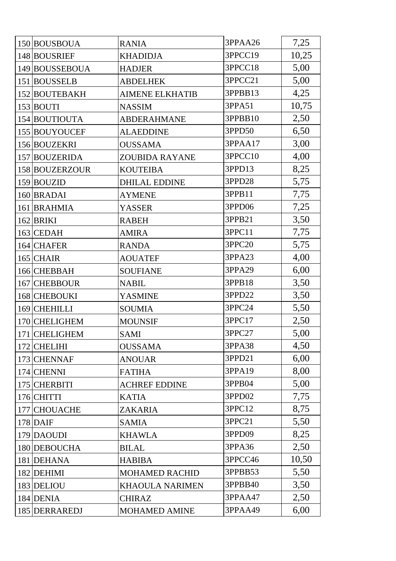| 150 BOUSBOUA   | <b>RANIA</b>           | 3PPAA26 | 7,25  |
|----------------|------------------------|---------|-------|
| 148 BOUSRIEF   | <b>KHADIDJA</b>        | 3PPCC19 | 10,25 |
| 149 BOUSSEBOUA | <b>HADJER</b>          | 3PPCC18 | 5,00  |
| 151 BOUSSELB   | <b>ABDELHEK</b>        | 3PPCC21 | 5,00  |
| 152 BOUTEBAKH  | <b>AIMENE ELKHATIB</b> | 3PPBB13 | 4,25  |
| 153 BOUTI      | <b>NASSIM</b>          | 3PPA51  | 10,75 |
| 154 BOUTIOUTA  | <b>ABDERAHMANE</b>     | 3PPBB10 | 2,50  |
| 155 BOUYOUCEF  | <b>ALAEDDINE</b>       | 3PPD50  | 6,50  |
| 156 BOUZEKRI   | <b>OUSSAMA</b>         | 3PPAA17 | 3,00  |
| 157 BOUZERIDA  | <b>ZOUBIDA RAYANE</b>  | 3PPCC10 | 4,00  |
| 158 BOUZERZOUR | <b>KOUTEIBA</b>        | 3PPD13  | 8,25  |
| 159 BOUZID     | <b>DHILAL EDDINE</b>   | 3PPD28  | 5,75  |
| 160 BRADAI     | <b>AYMENE</b>          | 3PPB11  | 7,75  |
| 161 BRAHMIA    | <b>YASSER</b>          | 3PPD06  | 7,25  |
| $162$ BRIKI    | <b>RABEH</b>           | 3PPB21  | 3,50  |
| $163$ CEDAH    | <b>AMIRA</b>           | 3PPC11  | 7,75  |
| 164 CHAFER     | <b>RANDA</b>           | 3PPC20  | 5,75  |
| $165$ CHAIR    | <b>AOUATEF</b>         | 3PPA23  | 4,00  |
| 166 CHEBBAH    | <b>SOUFIANE</b>        | 3PPA29  | 6,00  |
| 167 CHEBBOUR   | <b>NABIL</b>           | 3PPB18  | 3,50  |
| 168 CHEBOUKI   | YASMINE                | 3PPD22  | 3,50  |
| 169 CHEHILLI   | <b>SOUMIA</b>          | 3PPC24  | 5,50  |
| 170 CHELIGHEM  | <b>MOUNSIF</b>         | 3PPC17  | 2,50  |
| 171 CHELIGHEM  | SAMI                   | 3PPC27  | 5,00  |
| 172 CHELIHI    | <b>OUSSAMA</b>         | 3PPA38  | 4,50  |
| 173 CHENNAF    | <b>ANOUAR</b>          | 3PPD21  | 6,00  |
| 174 CHENNI     | <b>FATIHA</b>          | 3PPA19  | 8,00  |
| 175 CHERBITI   | <b>ACHREF EDDINE</b>   | 3PPB04  | 5,00  |
| $176$ CHITTI   | <b>KATIA</b>           | 3PPD02  | 7,75  |
| 177 CHOUACHE   | ZAKARIA                | 3PPC12  | 8,75  |
| $178$ DAIF     | <b>SAMIA</b>           | 3PPC21  | 5,50  |
| 179 DAOUDI     | <b>KHAWLA</b>          | 3PPD09  | 8,25  |
| 180 DEBOUCHA   | <b>BILAL</b>           | 3PPA36  | 2,50  |
| 181 DEHANA     | <b>HABIBA</b>          | 3PPCC46 | 10,50 |
| 182 DEHIMI     | <b>MOHAMED RACHID</b>  | 3PPBB53 | 5,50  |
| 183 DELIOU     | <b>KHAOULA NARIMEN</b> | 3PPBB40 | 3,50  |
| 184 DENIA      | <b>CHIRAZ</b>          | 3PPAA47 | 2,50  |
| 185 DERRAREDJ  | <b>MOHAMED AMINE</b>   | 3PPAA49 | 6,00  |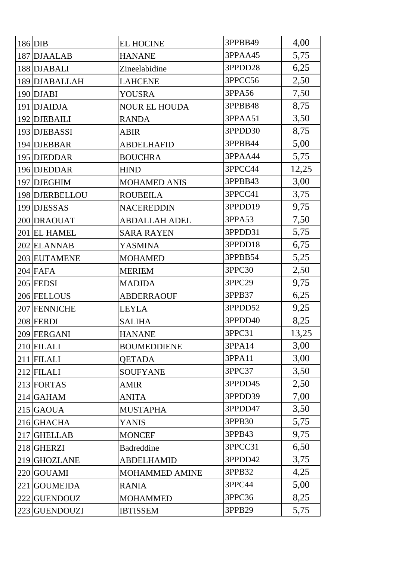| $186$ DIB      | <b>EL HOCINE</b>      | 3PPBB49 | 4,00  |
|----------------|-----------------------|---------|-------|
| 187 DJAALAB    | <b>HANANE</b>         | 3PPAA45 | 5,75  |
| 188 DJABALI    | Zineelabidine         | 3PPDD28 | 6,25  |
| 189 DJABALLAH  | <b>LAHCENE</b>        | 3PPCC56 | 2,50  |
| $190$ DJABI    | <b>YOUSRA</b>         | 3PPA56  | 7,50  |
| 191 DJAIDJA    | <b>NOUR EL HOUDA</b>  | 3PPBB48 | 8,75  |
| 192 DJEBAILI   | <b>RANDA</b>          | 3PPAA51 | 3,50  |
| 193 DJEBASSI   | <b>ABIR</b>           | 3PPDD30 | 8,75  |
| 194 DJEBBAR    | <b>ABDELHAFID</b>     | 3PPBB44 | 5,00  |
| 195 DJEDDAR    | <b>BOUCHRA</b>        | 3PPAA44 | 5,75  |
| 196 DJEDDAR    | <b>HIND</b>           | 3PPCC44 | 12,25 |
| 197 DJEGHIM    | <b>MOHAMED ANIS</b>   | 3PPBB43 | 3,00  |
| 198 DJERBELLOU | <b>ROUBEILA</b>       | 3PPCC41 | 3,75  |
| 199 DJESSAS    | <b>NACEREDDIN</b>     | 3PPDD19 | 9,75  |
| 200 DRAOUAT    | <b>ABDALLAH ADEL</b>  | 3PPA53  | 7,50  |
| 201 EL HAMEL   | <b>SARA RAYEN</b>     | 3PPDD31 | 5,75  |
| 202 ELANNAB    | <b>YASMINA</b>        | 3PPDD18 | 6,75  |
| 203 EUTAMENE   | <b>MOHAMED</b>        | 3PPBB54 | 5,25  |
| $204$ FAFA     | <b>MERIEM</b>         | 3PPC30  | 2,50  |
| $205$ FEDSI    | <b>MADJDA</b>         | 3PPC29  | 9,75  |
| 206 FELLOUS    | <b>ABDERRAOUF</b>     | 3PPB37  | 6,25  |
| 207 FENNICHE   | <b>LEYLA</b>          | 3PPDD52 | 9,25  |
| 208 FERDI      | <b>SALIHA</b>         | 3PPDD40 | 8,25  |
| 209 FERGANI    | <b>HANANE</b>         | 3PPC31  | 13,25 |
| $210$ FILALI   | <b>BOUMEDDIENE</b>    | 3PPA14  | 3,00  |
| 211 FILALI     | <b>OETADA</b>         | 3PPA11  | 3,00  |
| $212$ FILALI   | <b>SOUFYANE</b>       | 3PPC37  | 3,50  |
| 213 FORTAS     | <b>AMIR</b>           | 3PPDD45 | 2,50  |
| $214$ GAHAM    | <b>ANITA</b>          | 3PPDD39 | 7,00  |
| $215$ GAOUA    | <b>MUSTAPHA</b>       | 3PPDD47 | 3,50  |
| 216 GHACHA     | <b>YANIS</b>          | 3PPB30  | 5,75  |
| 217 GHELLAB    | <b>MONCEF</b>         | 3PPB43  | 9,75  |
| 218 GHERZI     | <b>Badreddine</b>     | 3PPCC31 | 6,50  |
| 219 GHOZLANE   | <b>ABDELHAMID</b>     | 3PPDD42 | 3,75  |
| 220 GOUAMI     | <b>MOHAMMED AMINE</b> | 3PPB32  | 4,25  |
| 221 GOUMEIDA   | <b>RANIA</b>          | 3PPC44  | 5,00  |
| 222 GUENDOUZ   | <b>MOHAMMED</b>       | 3PPC36  | 8,25  |
| 223 GUENDOUZI  | <b>IBTISSEM</b>       | 3PPB29  | 5,75  |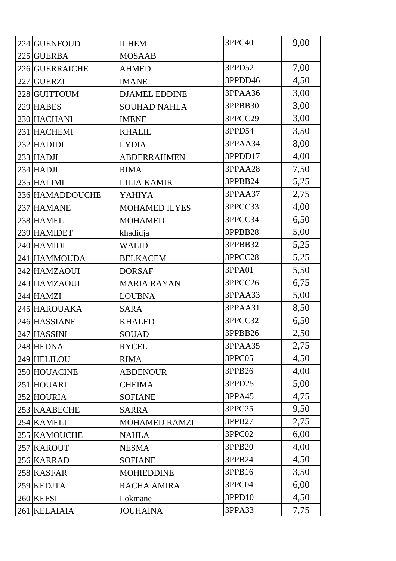| 224 GUENFOUD    | <b>ILHEM</b>         | 3PPC40  | 9,00 |
|-----------------|----------------------|---------|------|
| 225 GUERBA      | <b>MOSAAB</b>        |         |      |
| 226 GUERRAICHE  | <b>AHMED</b>         | 3PPD52  | 7,00 |
| 227 GUERZI      | <b>IMANE</b>         | 3PPDD46 | 4,50 |
| 228 GUITTOUM    | <b>DJAMEL EDDINE</b> | 3PPAA36 | 3,00 |
| 229 HABES       | <b>SOUHAD NAHLA</b>  | 3PPBB30 | 3,00 |
| 230 HACHANI     | <b>IMENE</b>         | 3PPCC29 | 3,00 |
| 231 HACHEMI     | <b>KHALIL</b>        | 3PPD54  | 3,50 |
| 232 HADIDI      | <b>LYDIA</b>         | 3PPAA34 | 8,00 |
| $233$ HADJI     | <b>ABDERRAHMEN</b>   | 3PPDD17 | 4,00 |
| $234$ HADJI     | <b>RIMA</b>          | 3PPAA28 | 7,50 |
| 235 HALIMI      | <b>LILIA KAMIR</b>   | 3PPBB24 | 5,25 |
| 236 HAMADDOUCHE | YAHIYA               | 3PPAA37 | 2,75 |
| 237 HAMANE      | <b>MOHAMED ILYES</b> | 3PPCC33 | 4,00 |
| 238 HAMEL       | <b>MOHAMED</b>       | 3PPCC34 | 6,50 |
| 239 HAMIDET     | khadidja             | 3PPBB28 | 5,00 |
| 240 HAMIDI      | <b>WALID</b>         | 3PPBB32 | 5,25 |
| 241 HAMMOUDA    | <b>BELKACEM</b>      | 3PPCC28 | 5,25 |
| 242 HAMZAOUI    | <b>DORSAF</b>        | 3PPA01  | 5,50 |
| 243 HAMZAOUI    | <b>MARIA RAYAN</b>   | 3PPCC26 | 6,75 |
| 244 HAMZI       | <b>LOUBNA</b>        | 3PPAA33 | 5,00 |
| 245 HAROUAKA    | <b>SARA</b>          | 3PPAA31 | 8,50 |
| 246 HASSIANE    | <b>KHALED</b>        | 3PPCC32 | 6,50 |
| 247 HASSINI     | <b>SOUAD</b>         | 3PPBB26 | 2,50 |
| 248 HEDNA       | <b>RYCEL</b>         | 3PPAA35 | 2,75 |
| 249 HELILOU     | <b>RIMA</b>          | 3PPC05  | 4,50 |
| 250 HOUACINE    | <b>ABDENOUR</b>      | 3PPB26  | 4,00 |
| 251 HOUARI      | <b>CHEIMA</b>        | 3PPD25  | 5,00 |
| 252 HOURIA      | <b>SOFIANE</b>       | 3PPA45  | 4,75 |
| 253 KAABECHE    | <b>SARRA</b>         | 3PPC25  | 9,50 |
| 254 KAMELI      | <b>MOHAMED RAMZI</b> | 3PPB27  | 2,75 |
| 255 KAMOUCHE    | <b>NAHLA</b>         | 3PPC02  | 6,00 |
| 257 KAROUT      | <b>NESMA</b>         | 3PPB20  | 4,00 |
| 256 KARRAD      | <b>SOFIANE</b>       | 3PPB24  | 4,50 |
| 258 KASFAR      | <b>MOHIEDDINE</b>    | 3PPB16  | 3,50 |
| 259 KEDJTA      | RACHA AMIRA          | 3PPC04  | 6,00 |
| 260 KEFSI       | Lokmane              | 3PPD10  | 4,50 |
| 261 KELAIAIA    | <b>JOUHAINA</b>      | 3PPA33  | 7,75 |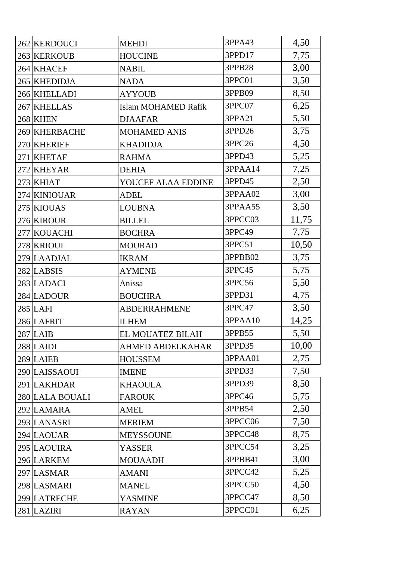| 262 KERDOUCI    | <b>MEHDI</b>               | 3PPA43  | 4,50  |
|-----------------|----------------------------|---------|-------|
| 263 KERKOUB     | <b>HOUCINE</b>             | 3PPD17  | 7,75  |
| 264 KHACEF      | <b>NABIL</b>               | 3PPB28  | 3,00  |
| 265 KHEDIDJA    | <b>NADA</b>                | 3PPC01  | 3,50  |
| 266 KHELLADI    | <b>AYYOUB</b>              | 3PPB09  | 8,50  |
| 267 KHELLAS     | <b>Islam MOHAMED Rafik</b> | 3PPC07  | 6,25  |
| 268 KHEN        | <b>DJAAFAR</b>             | 3PPA21  | 5,50  |
| 269 KHERBACHE   | <b>MOHAMED ANIS</b>        | 3PPD26  | 3,75  |
| 270 KHERIEF     | <b>KHADIDJA</b>            | 3PPC26  | 4,50  |
| 271 KHETAF      | <b>RAHMA</b>               | 3PPD43  | 5,25  |
| 272 KHEYAR      | <b>DEHIA</b>               | 3PPAA14 | 7,25  |
| $273$ KHIAT     | YOUCEF ALAA EDDINE         | 3PPD45  | 2,50  |
| 274 KINIOUAR    | <b>ADEL</b>                | 3PPAA02 | 3,00  |
| 275 KIOUAS      | <b>LOUBNA</b>              | 3PPAA55 | 3,50  |
| 276 KIROUR      | <b>BILLEL</b>              | 3PPCC03 | 11,75 |
| 277 KOUACHI     | <b>BOCHRA</b>              | 3PPC49  | 7,75  |
| 278 KRIOUI      | <b>MOURAD</b>              | 3PPC51  | 10,50 |
| 279 LAADJAL     | <b>IKRAM</b>               | 3PPBB02 | 3,75  |
| 282 LABSIS      | <b>AYMENE</b>              | 3PPC45  | 5,75  |
| 283 LADACI      | Anissa                     | 3PPC56  | 5,50  |
| 284 LADOUR      | <b>BOUCHRA</b>             | 3PPD31  | 4,75  |
| $285$ LAFI      | <b>ABDERRAHMENE</b>        | 3PPC47  | 3,50  |
| 286 LAFRIT      | <b>ILHEM</b>               | 3PPAA10 | 14,25 |
| $287$ LAIB      | EL MOUATEZ BILAH           | 3PPB55  | 5,50  |
| $288$ LAIDI     | <b>AHMED ABDELKAHAR</b>    | 3PPD35  | 10,00 |
| 289 LAIEB       | <b>HOUSSEM</b>             | 3PPAA01 | 2,75  |
| 290 LAISSAOUI   | <b>IMENE</b>               | 3PPD33  | 7,50  |
| 291 LAKHDAR     | <b>KHAOULA</b>             | 3PPD39  | 8,50  |
| 280 LALA BOUALI | <b>FAROUK</b>              | 3PPC46  | 5,75  |
| 292 LAMARA      | <b>AMEL</b>                | 3PPB54  | 2,50  |
| 293 LANASRI     | <b>MERIEM</b>              | 3PPCC06 | 7,50  |
| 294 LAOUAR      | <b>MEYSSOUNE</b>           | 3PPCC48 | 8,75  |
| 295 LAOUIRA     | YASSER                     | 3PPCC54 | 3,25  |
| 296 LARKEM      | <b>MOUAADH</b>             | 3PPBB41 | 3,00  |
| 297 LASMAR      | <b>AMANI</b>               | 3PPCC42 | 5,25  |
| 298 LASMARI     | <b>MANEL</b>               | 3PPCC50 | 4,50  |
| 299 LATRECHE    | <b>YASMINE</b>             | 3PPCC47 | 8,50  |
| 281 LAZIRI      | <b>RAYAN</b>               | 3PPCC01 | 6,25  |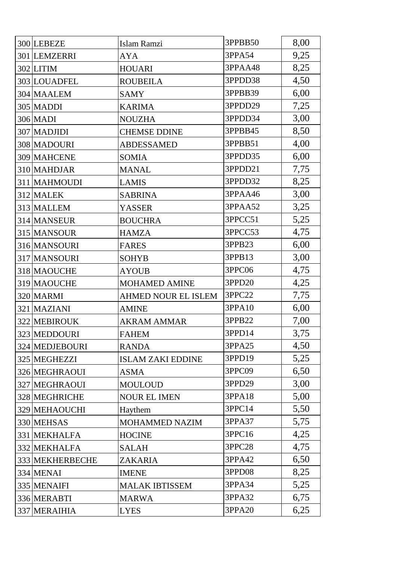| 300 LEBEZE      | Islam Ramzi                | 3PPBB50 | 8,00 |
|-----------------|----------------------------|---------|------|
| 301 LEMZERRI    | AYA                        | 3PPA54  | 9,25 |
| $302$ LITIM     | <b>HOUARI</b>              | 3PPAA48 | 8,25 |
| 303 LOUADFEL    | <b>ROUBEILA</b>            | 3PPDD38 | 4,50 |
| 304 MAALEM      | <b>SAMY</b>                | 3PPBB39 | 6,00 |
| 305 MADDI       | <b>KARIMA</b>              | 3PPDD29 | 7,25 |
| <b>306 MADI</b> | <b>NOUZHA</b>              | 3PPDD34 | 3,00 |
| 307 MADJIDI     | <b>CHEMSE DDINE</b>        | 3PPBB45 | 8,50 |
| 308 MADOURI     | <b>ABDESSAMED</b>          | 3PPBB51 | 4,00 |
| 309 MAHCENE     | <b>SOMIA</b>               | 3PPDD35 | 6,00 |
| 310 MAHDJAR     | <b>MANAL</b>               | 3PPDD21 | 7,75 |
| 311 MAHMOUDI    | <b>LAMIS</b>               | 3PPDD32 | 8,25 |
| 312 MALEK       | <b>SABRINA</b>             | 3PPAA46 | 3,00 |
| 313 MALLEM      | YASSER                     | 3PPAA52 | 3,25 |
| 314 MANSEUR     | <b>BOUCHRA</b>             | 3PPCC51 | 5,25 |
| 315 MANSOUR     | <b>HAMZA</b>               | 3PPCC53 | 4,75 |
| 316 MANSOURI    | <b>FARES</b>               | 3PPB23  | 6,00 |
| 317 MANSOURI    | <b>SOHYB</b>               | 3PPB13  | 3,00 |
| 318 MAOUCHE     | <b>AYOUB</b>               | 3PPC06  | 4,75 |
| 319 MAOUCHE     | <b>MOHAMED AMINE</b>       | 3PPD20  | 4,25 |
| 320 MARMI       | <b>AHMED NOUR EL ISLEM</b> | 3PPC22  | 7,75 |
| 321 MAZIANI     | <b>AMINE</b>               | 3PPA10  | 6,00 |
| 322 MEBIROUK    | <b>AKRAM AMMAR</b>         | 3PPB22  | 7,00 |
| 323 MEDDOURI    | <b>FAHEM</b>               | 3PPD14  | 3,75 |
| 324 MEDJEBOURI  | <b>RANDA</b>               | 3PPA25  | 4,50 |
| 325 MEGHEZZI    | <b>ISLAM ZAKI EDDINE</b>   | 3PPD19  | 5,25 |
| 326 MEGHRAOUI   | <b>ASMA</b>                | 3PPC09  | 6,50 |
| 327 MEGHRAOUI   | <b>MOULOUD</b>             | 3PPD29  | 3,00 |
| 328 MEGHRICHE   | <b>NOUR EL IMEN</b>        | 3PPA18  | 5,00 |
| 329 MEHAOUCHI   | Haythem                    | 3PPC14  | 5,50 |
| 330 MEHSAS      | <b>MOHAMMED NAZIM</b>      | 3PPA37  | 5,75 |
| 331 MEKHALFA    | <b>HOCINE</b>              | 3PPC16  | 4,25 |
| 332 MEKHALFA    | <b>SALAH</b>               | 3PPC28  | 4,75 |
| 333 MEKHERBECHE | ZAKARIA                    | 3PPA42  | 6,50 |
| 334 MENAI       | <b>IMENE</b>               | 3PPD08  | 8,25 |
| 335 MENAIFI     | <b>MALAK IBTISSEM</b>      | 3PPA34  | 5,25 |
| 336 MERABTI     | <b>MARWA</b>               | 3PPA32  | 6,75 |
| 337 MERAIHIA    | <b>LYES</b>                | 3PPA20  | 6,25 |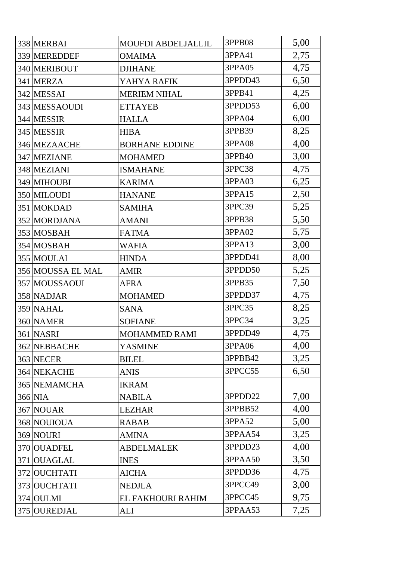| 338 MERBAI        | <b>MOUFDI ABDELJALLIL</b> | 3PPB08  | 5,00 |
|-------------------|---------------------------|---------|------|
| 339 MEREDDEF      | <b>OMAIMA</b>             | 3PPA41  | 2,75 |
| 340 MERIBOUT      | <b>DJIHANE</b>            | 3PPA05  | 4,75 |
| 341 MERZA         | YAHYA RAFIK               | 3PPDD43 | 6,50 |
| 342 MESSAI        | <b>MERIEM NIHAL</b>       | 3PPB41  | 4,25 |
| 343 MESSAOUDI     | <b>ETTAYEB</b>            | 3PPDD53 | 6,00 |
| 344 MESSIR        | <b>HALLA</b>              | 3PPA04  | 6,00 |
| 345 MESSIR        | <b>HIBA</b>               | 3PPB39  | 8,25 |
| 346 MEZAACHE      | <b>BORHANE EDDINE</b>     | 3PPA08  | 4,00 |
| 347 MEZIANE       | <b>MOHAMED</b>            | 3PPB40  | 3,00 |
| 348 MEZIANI       | <b>ISMAHANE</b>           | 3PPC38  | 4,75 |
| 349 MIHOUBI       | <b>KARIMA</b>             | 3PPA03  | 6,25 |
| 350 MILOUDI       | <b>HANANE</b>             | 3PPA15  | 2,50 |
| 351 MOKDAD        | <b>SAMIHA</b>             | 3PPC39  | 5,25 |
| 352 MORDJANA      | <b>AMANI</b>              | 3PPB38  | 5,50 |
| 353 MOSBAH        | <b>FATMA</b>              | 3PPA02  | 5,75 |
| 354 MOSBAH        | <b>WAFIA</b>              | 3PPA13  | 3,00 |
| 355 MOULAI        | <b>HINDA</b>              | 3PPDD41 | 8,00 |
| 356 MOUSSA EL MAL | <b>AMIR</b>               | 3PPDD50 | 5,25 |
| 357 MOUSSAOUI     | <b>AFRA</b>               | 3PPB35  | 7,50 |
| 358 NADJAR        | <b>MOHAMED</b>            | 3PPDD37 | 4,75 |
| 359 NAHAL         | <b>SANA</b>               | 3PPC35  | 8,25 |
| 360 NAMER         | <b>SOFIANE</b>            | 3PPC34  | 3,25 |
| 361 NASRI         | <b>MOHAMMED RAMI</b>      | 3PPDD49 | 4,75 |
| 362 NEBBACHE      | <b>YASMINE</b>            | 3PPA06  | 4,00 |
| 363 NECER         | <b>BILEL</b>              | 3PPBB42 | 3,25 |
| 364 NEKACHE       | <b>ANIS</b>               | 3PPCC55 | 6,50 |
| 365 NEMAMCHA      | <b>IKRAM</b>              |         |      |
| 366 NIA           | <b>NABILA</b>             | 3PPDD22 | 7,00 |
| 367 NOUAR         | <b>LEZHAR</b>             | 3PPBB52 | 4,00 |
| 368 NOUIOUA       | <b>RABAB</b>              | 3PPA52  | 5,00 |
| 369 NOURI         | <b>AMINA</b>              | 3PPAA54 | 3,25 |
| 370 OUADFEL       | <b>ABDELMALEK</b>         | 3PPDD23 | 4,00 |
| 371 OUAGLAL       | <b>INES</b>               | 3PPAA50 | 3,50 |
| 372 OUCHTATI      | <b>AICHA</b>              | 3PPDD36 | 4,75 |
| 373 OUCHTATI      | <b>NEDJLA</b>             | 3PPCC49 | 3,00 |
| 374 OULMI         | EL FAKHOURI RAHIM         | 3PPCC45 | 9,75 |
| 375 OUREDJAL      | ALI                       | 3PPAA53 | 7,25 |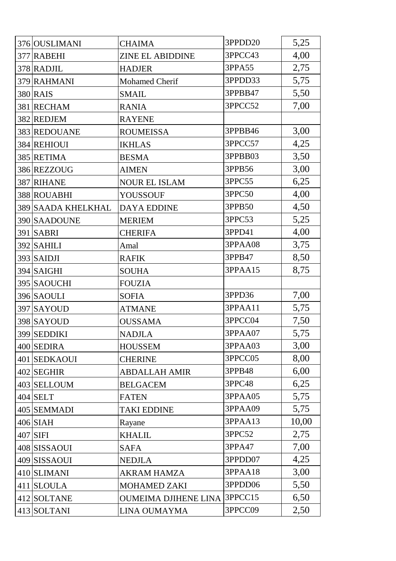| 376 OUSLIMANI      | <b>CHAIMA</b>               | 3PPDD20    | 5,25  |
|--------------------|-----------------------------|------------|-------|
| 377 RABEHI         | <b>ZINE EL ABIDDINE</b>     | 3PPCC43    | 4,00  |
| 378 RADJIL         | <b>HADJER</b>               | 3PPA55     | 2,75  |
| 379 RAHMANI        | Mohamed Cherif              | 3PPDD33    | 5,75  |
| 380 RAIS           | <b>SMAIL</b>                | 3PPBB47    | 5,50  |
| 381 RECHAM         | <b>RANIA</b>                | 3PPCC52    | 7,00  |
| 382 REDJEM         | <b>RAYENE</b>               |            |       |
| 383 REDOUANE       | <b>ROUMEISSA</b>            | 3PPBB46    | 3,00  |
| 384 REHIOUI        | <b>IKHLAS</b>               | 3PPCC57    | 4,25  |
| 385 RETIMA         | <b>BESMA</b>                | 3PPBB03    | 3,50  |
| 386 REZZOUG        | <b>AIMEN</b>                | 3PPB56     | 3,00  |
| 387 RIHANE         | <b>NOUR EL ISLAM</b>        | 3PPC55     | 6,25  |
| 388 ROUABHI        | <b>YOUSSOUF</b>             | 3PPC50     | 4,00  |
| 389 SAADA KHELKHAL | <b>DAYA EDDINE</b>          | 3PPB50     | 4,50  |
| 390 SAADOUNE       | <b>MERIEM</b>               | 3PPC53     | 5,25  |
| <b>391 SABRI</b>   | <b>CHERIFA</b>              | 3PPD41     | 4,00  |
| $392$ SAHILI       | Amal                        | 3PPAA08    | 3,75  |
| $393$ SAIDJI       | <b>RAFIK</b>                | 3PPB47     | 8,50  |
| 394 SAIGHI         | <b>SOUHA</b>                | 3PPAA15    | 8,75  |
| 395 SAOUCHI        | <b>FOUZIA</b>               |            |       |
| 396 SAOULI         | <b>SOFIA</b>                | 3PPD36     | 7,00  |
| 397 SAYOUD         | <b>ATMANE</b>               | 3PPAA11    | 5,75  |
| 398 SAYOUD         | <b>OUSSAMA</b>              | 3PPCC04    | 7,50  |
| 399 SEDDIKI        | <b>NADJLA</b>               | 3PPAA07    | 5,75  |
| 400 SEDIRA         | <b>HOUSSEM</b>              | 3PPAA03    | 3,00  |
| 401 SEDKAOUI       | <b>CHERINE</b>              | 3PPCC05    | 8,00  |
| 402 SEGHIR         | <b>ABDALLAH AMIR</b>        | 3PPB48     | 6,00  |
| 403 SELLOUM        | <b>BELGACEM</b>             | 3PPC48     | 6,25  |
| $404$ SELT         | <b>FATEN</b>                | 3PPAA05    | 5,75  |
| 405 SEMMADI        | <b>TAKI EDDINE</b>          | 3PPAA09    | 5,75  |
| $406$ SIAH         | Rayane                      | 3PPAA13    | 10,00 |
| 407 SIFI           | <b>KHALIL</b>               | 3PPC52     | 2,75  |
| 408 SISSAOUI       | <b>SAFA</b>                 | 3PPA47     | 7,00  |
| 409 SISSAOUI       | <b>NEDJLA</b>               | 3PPDD07    | 4,25  |
| 410 SLIMANI        | <b>AKRAM HAMZA</b>          | 3PPAA18    | 3,00  |
| 411 SLOULA         | <b>MOHAMED ZAKI</b>         | 3PPDD06    | 5,50  |
| 412 SOLTANE        | <b>OUMEIMA DJIHENE LINA</b> | $3$ PPCC15 | 6,50  |
| 413 SOLTANI        | LINA OUMAYMA                | 3PPCC09    | 2,50  |